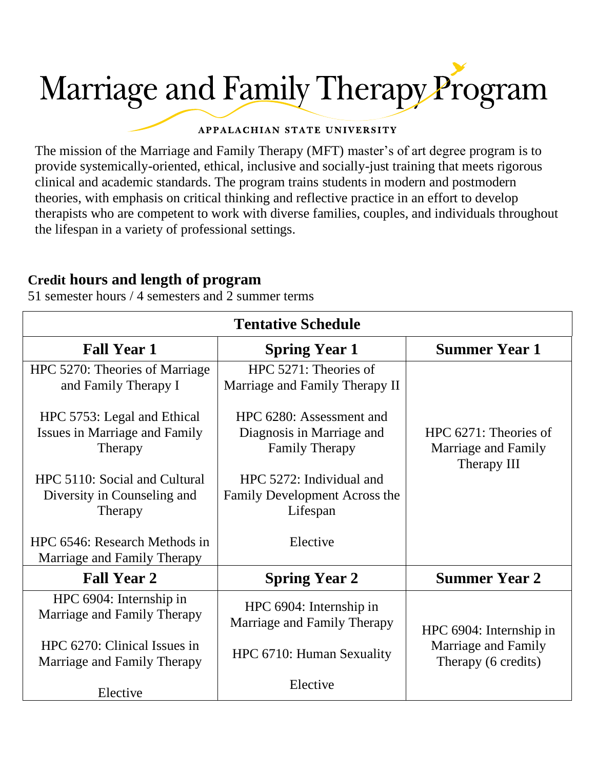# Marriage and Family Therapy Program

#### APPALACHIAN STATE UNIVERSITY

The mission of the Marriage and Family Therapy (MFT) master's of art degree program is to provide systemically-oriented, ethical, inclusive and socially-just training that meets rigorous clinical and academic standards. The program trains students in modern and postmodern theories, with emphasis on critical thinking and reflective practice in an effort to develop therapists who are competent to work with diverse families, couples, and individuals throughout the lifespan in a variety of professional settings.

## **Credit hours and length of program**

51 semester hours / 4 semesters and 2 summer terms

| <b>Tentative Schedule</b>                                               |                                                                                |                                                             |
|-------------------------------------------------------------------------|--------------------------------------------------------------------------------|-------------------------------------------------------------|
| <b>Fall Year 1</b>                                                      | <b>Spring Year 1</b>                                                           | <b>Summer Year 1</b>                                        |
| HPC 5270: Theories of Marriage<br>and Family Therapy I                  | HPC 5271: Theories of<br>Marriage and Family Therapy II                        |                                                             |
| HPC 5753: Legal and Ethical<br>Issues in Marriage and Family<br>Therapy | HPC 6280: Assessment and<br>Diagnosis in Marriage and<br><b>Family Therapy</b> | HPC 6271: Theories of<br>Marriage and Family<br>Therapy III |
| HPC 5110: Social and Cultural<br>Diversity in Counseling and<br>Therapy | HPC 5272: Individual and<br>Family Development Across the<br>Lifespan          |                                                             |
| HPC 6546: Research Methods in<br>Marriage and Family Therapy            | Elective                                                                       |                                                             |
| <b>Fall Year 2</b>                                                      | <b>Spring Year 2</b>                                                           | <b>Summer Year 2</b>                                        |
| HPC 6904: Internship in<br>Marriage and Family Therapy                  | HPC 6904: Internship in<br>Marriage and Family Therapy                         | HPC 6904: Internship in                                     |
| HPC 6270: Clinical Issues in<br>Marriage and Family Therapy             | HPC 6710: Human Sexuality                                                      | Marriage and Family<br>Therapy (6 credits)                  |
| Elective                                                                | Elective                                                                       |                                                             |